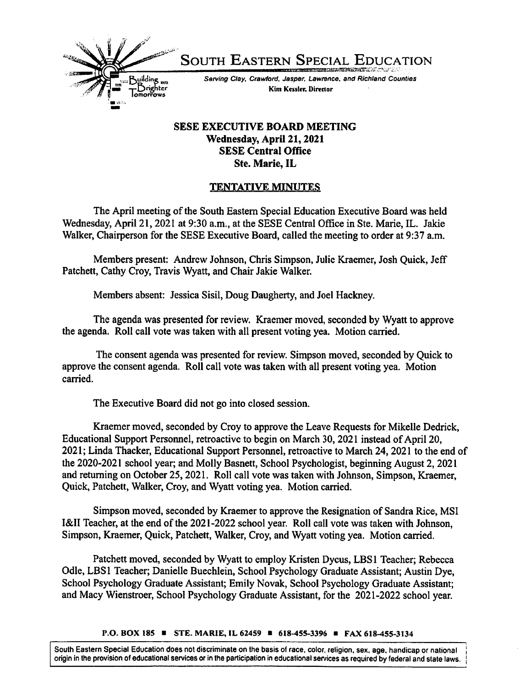

South Eastern Special Education

Ruilding <sub>En</sub> Serving Clay, Crawford, Jasper, Lawrence, and Richland Counties Kim Kessler, Director

## SESE EXECUTIVE BOARD MEETING Wednesday, April 21, 2021 SESE Central Office Ste. Marie, IL

## TENTATIVE MINUTES

The April meeting of the South Eastern Special Education Executive Board was held Wednesday, April 21,2021 at 9:30 a.m., at the SESE Central Office in Ste. Marie, IL. Jakie Walker, Chairperson for the SESE Executive Board, called the meeting to order at 9:37 a.m.

Members present: Andrew Johnson, Chris Simpson, Julie Kraemer, Josh Quick, Jeff Patchett, Cathy Croy, Travis Wyatt, and Chair Jakie Walker.

Members absent: Jessica Sisil, Doug Daugherty, and Joel Hackney.

The agenda was presented for review. Kraemer moved, seconded by Wyatt to approve the agenda. Roll call vote was taken with all present voting yea. Motion carried.

The consent agenda was presented for review. Simpson moved, seconded by Quick to approve the consent agenda. Roll call vote was taken with all present voting yea. Motion carried.

The Executive Board did not go into closed session.

Kraemer moved, seconded by Croy to approve the Leave Requests for Mikelle Dedrick, Educational Support Personnel, retroactive to begin on March 30,2021 instead of April 20, 2021; Linda Thacker, Educational Support Personnel, retroactive to March 24,2021 to the end of the 2020-2021 school year; and Molly Basnett, School Psychologist, beginning August 2,2021 and returning on October 25,2021. Roll call vote was taken with Johnson, Simpson, Kraemer, Quick, Patchett, Walker, Croy, and Wyatt voting yea. Motion carried.

Simpson moved, seconded by Kraemer to approve the Resignation of Sandra Rice, MSI l&ll Teacher, at the end of the 2021-2022 school year. Roll call vote was taken with Johnson, Simpson, Kraemer, Quick, Patchett, Walker, Croy, and Wyatt voting yea. Motion carried.

Patchett moved, seconded by Wyatt to employ Kristen Dycus, LBSl Teacher; Rebecca Odle, LBSl Teacher; Danielle Buechlein, School Psychology Graduate Assistant; Austin Dye, School Psychology Graduate Assistant; Emily Novak, School Psychology Graduate Assistant; and Macy Wienstroer, School Psychology Graduate Assistant, for the 2021-2022 school year.

P.O. BOX 185 ■ STE. MARIE, IL 62459 ■ 618-455-3396 ■ FAX 618-455-3134

South Eastern Special Education does not discriminate on the basis of race, color, religion, sex. age, handicap or national | origin in the provision of educational services or in the participation in educational services as required by federal and state laws. |